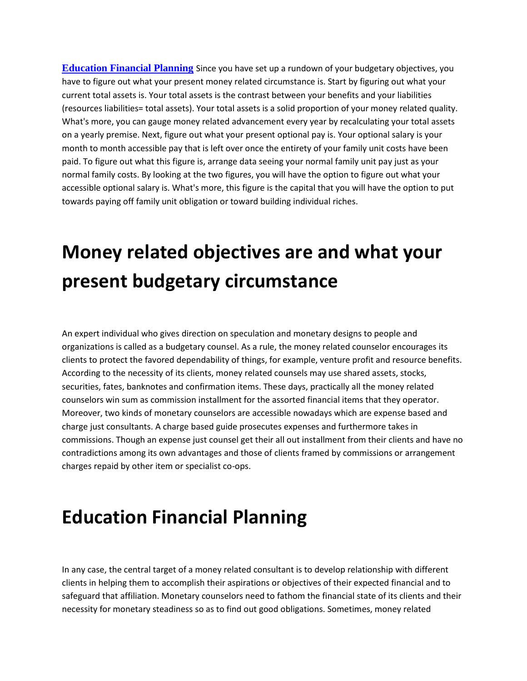**[Education Financial Planning](https://association-financial.com/services/education-planning/)** Since you have set up a rundown of your budgetary objectives, you have to figure out what your present money related circumstance is. Start by figuring out what your current total assets is. Your total assets is the contrast between your benefits and your liabilities (resources liabilities= total assets). Your total assets is a solid proportion of your money related quality. What's more, you can gauge money related advancement every year by recalculating your total assets on a yearly premise. Next, figure out what your present optional pay is. Your optional salary is your month to month accessible pay that is left over once the entirety of your family unit costs have been paid. To figure out what this figure is, arrange data seeing your normal family unit pay just as your normal family costs. By looking at the two figures, you will have the option to figure out what your accessible optional salary is. What's more, this figure is the capital that you will have the option to put towards paying off family unit obligation or toward building individual riches.

## **Money related objectives are and what your present budgetary circumstance**

An expert individual who gives direction on speculation and monetary designs to people and organizations is called as a budgetary counsel. As a rule, the money related counselor encourages its clients to protect the favored dependability of things, for example, venture profit and resource benefits. According to the necessity of its clients, money related counsels may use shared assets, stocks, securities, fates, banknotes and confirmation items. These days, practically all the money related counselors win sum as commission installment for the assorted financial items that they operator. Moreover, two kinds of monetary counselors are accessible nowadays which are expense based and charge just consultants. A charge based guide prosecutes expenses and furthermore takes in commissions. Though an expense just counsel get their all out installment from their clients and have no contradictions among its own advantages and those of clients framed by commissions or arrangement charges repaid by other item or specialist co-ops.

## **Education Financial Planning**

In any case, the central target of a money related consultant is to develop relationship with different clients in helping them to accomplish their aspirations or objectives of their expected financial and to safeguard that affiliation. Monetary counselors need to fathom the financial state of its clients and their necessity for monetary steadiness so as to find out good obligations. Sometimes, money related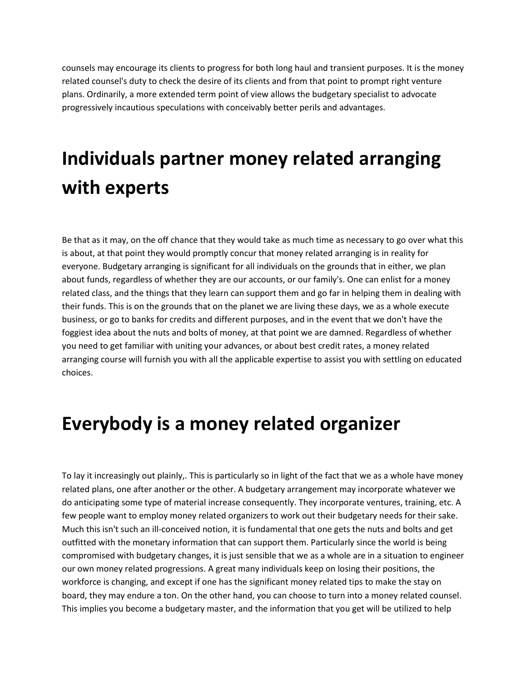counsels may encourage its clients to progress for both long haul and transient purposes. It is the money related counsel's duty to check the desire of its clients and from that point to prompt right venture plans. Ordinarily, a more extended term point of view allows the budgetary specialist to advocate progressively incautious speculations with conceivably better perils and advantages.

## **Individuals partner money related arranging with experts**

Be that as it may, on the off chance that they would take as much time as necessary to go over what this is about, at that point they would promptly concur that money related arranging is in reality for everyone. Budgetary arranging is significant for all individuals on the grounds that in either, we plan about funds, regardless of whether they are our accounts, or our family's. One can enlist for a money related class, and the things that they learn can support them and go far in helping them in dealing with their funds. This is on the grounds that on the planet we are living these days, we as a whole execute business, or go to banks for credits and different purposes, and in the event that we don't have the foggiest idea about the nuts and bolts of money, at that point we are damned. Regardless of whether you need to get familiar with uniting your advances, or about best credit rates, a money related arranging course will furnish you with all the applicable expertise to assist you with settling on educated choices.

## **Everybody is a money related organizer**

To lay it increasingly out plainly,. This is particularly so in light of the fact that we as a whole have money related plans, one after another or the other. A budgetary arrangement may incorporate whatever we do anticipating some type of material increase consequently. They incorporate ventures, training, etc. A few people want to employ money related organizers to work out their budgetary needs for their sake. Much this isn't such an ill-conceived notion, it is fundamental that one gets the nuts and bolts and get outfitted with the monetary information that can support them. Particularly since the world is being compromised with budgetary changes, it is just sensible that we as a whole are in a situation to engineer our own money related progressions. A great many individuals keep on losing their positions, the workforce is changing, and except if one has the significant money related tips to make the stay on board, they may endure a ton. On the other hand, you can choose to turn into a money related counsel. This implies you become a budgetary master, and the information that you get will be utilized to help